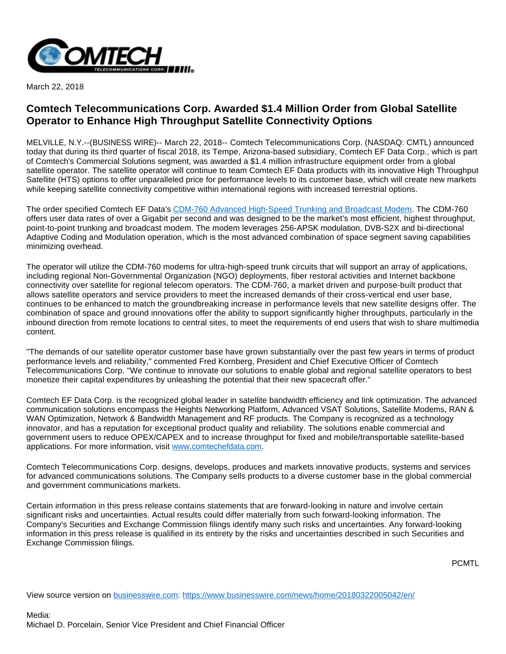

March 22, 2018

## **Comtech Telecommunications Corp. Awarded \$1.4 Million Order from Global Satellite Operator to Enhance High Throughput Satellite Connectivity Options**

MELVILLE, N.Y.--(BUSINESS WIRE)-- March 22, 2018-- Comtech Telecommunications Corp. (NASDAQ: CMTL) announced today that during its third quarter of fiscal 2018, its Tempe, Arizona-based subsidiary, Comtech EF Data Corp., which is part of Comtech's Commercial Solutions segment, was awarded a \$1.4 million infrastructure equipment order from a global satellite operator. The satellite operator will continue to team Comtech EF Data products with its innovative High Throughput Satellite (HTS) options to offer unparalleled price for performance levels to its customer base, which will create new markets while keeping satellite connectivity competitive within international regions with increased terrestrial options.

The order specified Comtech EF Data's [CDM-760 Advanced High-Speed Trunking and Broadcast Modem](http://cts.businesswire.com/ct/CT?id=smartlink&url=https%3A%2F%2Fwww.comtechefdata.com%2Fproducts%2Fsatellite-modems%2Fcdm-760&esheet=51776442&newsitemid=20180322005042&lan=en-US&anchor=CDM-760+Advanced+High-Speed+Trunking+and+Broadcast+Modem&index=1&md5=d0e190c57098205432912297d67f680a). The CDM-760 offers user data rates of over a Gigabit per second and was designed to be the market's most efficient, highest throughput, point-to-point trunking and broadcast modem. The modem leverages 256-APSK modulation, DVB-S2X and bi-directional Adaptive Coding and Modulation operation, which is the most advanced combination of space segment saving capabilities minimizing overhead.

The operator will utilize the CDM-760 modems for ultra-high-speed trunk circuits that will support an array of applications, including regional Non-Governmental Organization (NGO) deployments, fiber restoral activities and Internet backbone connectivity over satellite for regional telecom operators. The CDM-760, a market driven and purpose-built product that allows satellite operators and service providers to meet the increased demands of their cross-vertical end user base, continues to be enhanced to match the groundbreaking increase in performance levels that new satellite designs offer. The combination of space and ground innovations offer the ability to support significantly higher throughputs, particularly in the inbound direction from remote locations to central sites, to meet the requirements of end users that wish to share multimedia content.

"The demands of our satellite operator customer base have grown substantially over the past few years in terms of product performance levels and reliability," commented Fred Kornberg, President and Chief Executive Officer of Comtech Telecommunications Corp. "We continue to innovate our solutions to enable global and regional satellite operators to best monetize their capital expenditures by unleashing the potential that their new spacecraft offer."

Comtech EF Data Corp. is the recognized global leader in satellite bandwidth efficiency and link optimization. The advanced communication solutions encompass the Heights Networking Platform, Advanced VSAT Solutions, Satellite Modems, RAN & WAN Optimization, Network & Bandwidth Management and RF products. The Company is recognized as a technology innovator, and has a reputation for exceptional product quality and reliability. The solutions enable commercial and government users to reduce OPEX/CAPEX and to increase throughput for fixed and mobile/transportable satellite-based applications. For more information, visit [www.comtechefdata.com.](http://cts.businesswire.com/ct/CT?id=smartlink&url=http%3A%2F%2Fwww.comtechefdata.com&esheet=51776442&newsitemid=20180322005042&lan=en-US&anchor=www.comtechefdata.com&index=2&md5=7cd9020501ef359df830290c6c611d81)

Comtech Telecommunications Corp. designs, develops, produces and markets innovative products, systems and services for advanced communications solutions. The Company sells products to a diverse customer base in the global commercial and government communications markets.

Certain information in this press release contains statements that are forward-looking in nature and involve certain significant risks and uncertainties. Actual results could differ materially from such forward-looking information. The Company's Securities and Exchange Commission filings identify many such risks and uncertainties. Any forward-looking information in this press release is qualified in its entirety by the risks and uncertainties described in such Securities and Exchange Commission filings.

PCMTL

View source version on [businesswire.com](http://businesswire.com/): <https://www.businesswire.com/news/home/20180322005042/en/>